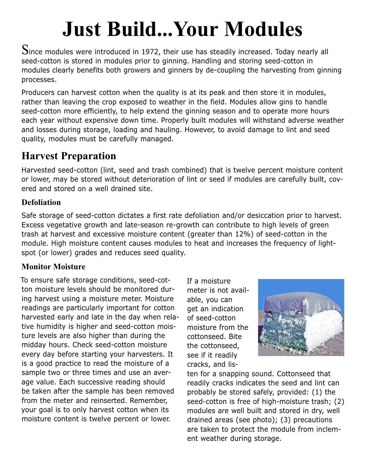# **Just Build...Your Modules**

 $S$ ince modules were introduced in 1972, their use has steadily increased. Today nearly all seed-cotton is stored in modules prior to ginning. Handling and storing seed-cotton in modules clearly benefits both growers and ginners by de-coupling the harvesting from ginning processes.

Producers can harvest cotton when the quality is at its peak and then store it in modules, rather than leaving the crop exposed to weather in the field. Modules allow gins to handle seed-cotton more efficiently, to help extend the ginning season and to operate more hours each year without expensive down time. Properly built modules will withstand adverse weather and losses during storage, loading and hauling. However, to avoid damage to lint and seed quality, modules must be carefully managed.

# **Harvest Preparation**

Harvested seed-cotton (lint, seed and trash combined) that is twelve percent moisture content or lower, may be stored without deterioration of lint or seed if modules are carefully built, covered and stored on a well drained site.

## **Defoliation**

Safe storage of seed-cotton dictates a first rate defoliation and/or desiccation prior to harvest. Excess vegetative growth and late-season re-growth can contribute to high levels of green trash at harvest and excessive moisture content (greater than 12%) of seed-cotton in the module. High moisture content causes modules to heat and increases the frequency of lightspot (or lower) grades and reduces seed quality.

## **Monitor Moisture**

To ensure safe storage conditions, seed-cotton moisture levels should be monitored during harvest using a moisture meter. Moisture readings are particularly important for cotton harvested early and late in the day when relative humidity is higher and seed-cotton moisture levels are also higher than during the midday hours. Check seed-cotton moisture every day before starting your harvesters. It is a good practice to read the moisture of a sample two or three times and use an average value. Each successive reading should be taken after the sample has been removed from the meter and reinserted. Remember, your goal is to only harvest cotton when its moisture content is twelve percent or lower.

If a moisture meter is not available, you can get an indication of seed-cotton moisture from the cottonseed. Bite the cottonseed, see if it readily cracks, and lis-



ten for a snapping sound. Cottonseed that readily cracks indicates the seed and lint can probably be stored safely, provided: (1) the seed-cotton is free of high-moisture trash; (2) modules are well built and stored in dry, well drained areas (see photo); (3) precautions are taken to protect the module from inclement weather during storage.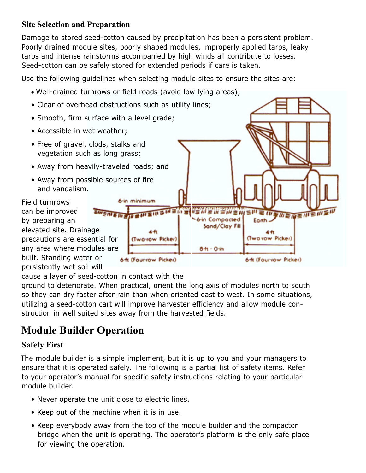### **Site Selection and Preparation**

Damage to stored seed-cotton caused by precipitation has been a persistent problem. Poorly drained module sites, poorly shaped modules, improperly applied tarps, leaky tarps and intense rainstorms accompanied by high winds all contribute to losses. Seed-cotton can be safely stored for extended periods if care is taken.

Use the following guidelines when selecting module sites to ensure the sites are:

• Well-drained turnrows or field roads (avoid low lying areas);



cause a layer of seed-cotton in contact with the

ground to deteriorate. When practical, orient the long axis of modules north to south so they can dry faster after rain than when oriented east to west. In some situations, utilizing a seed-cotton cart will improve harvester efficiency and allow module construction in well suited sites away from the harvested fields.

# **Module Builder Operation**

### **Safety First**

The module builder is a simple implement, but it is up to you and your managers to ensure that it is operated safely. The following is a partial list of safety items. Refer to your operator's manual for specific safety instructions relating to your particular module builder.

- Never operate the unit close to electric lines.
- Keep out of the machine when it is in use.
- Keep everybody away from the top of the module builder and the compactor bridge when the unit is operating. The operator's platform is the only safe place for viewing the operation.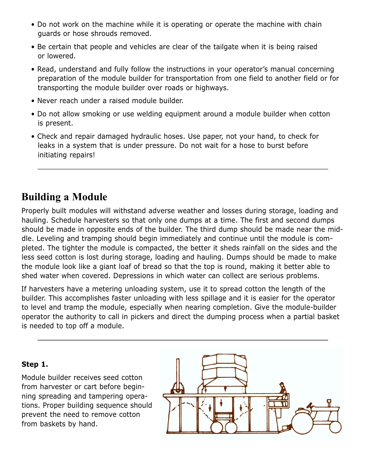- Do not work on the machine while it is operating or operate the machine with chain guards or hose shrouds removed.
- Be certain that people and vehicles are clear of the tailgate when it is being raised or lowered.
- Read, understand and fully follow the instructions in your operator's manual concerning preparation of the module builder for transportation from one field to another field or for transporting the module builder over roads or highways.
- Never reach under a raised module builder.
- Do not allow smoking or use welding equipment around a module builder when cotton is present.
- Check and repair damaged hydraulic hoses. Use paper, not your hand, to check for leaks in a system that is under pressure. Do not wait for a hose to burst before initiating repairs!

## **Building a Module**

Properly built modules will withstand adverse weather and losses during storage, loading and hauling. Schedule harvesters so that only one dumps at a time. The first and second dumps should be made in opposite ends of the builder. The third dump should be made near the middle. Leveling and tramping should begin immediately and continue until the module is completed. The tighter the module is compacted, the better it sheds rainfall on the sides and the less seed cotton is lost during storage, loading and hauling. Dumps should be made to make the module look like a giant loaf of bread so that the top is round, making it better able to shed water when covered. Depressions in which water can collect are serious problems.

If harvesters have a metering unloading system, use it to spread cotton the length of the builder. This accomplishes faster unloading with less spillage and it is easier for the operator to level and tramp the module, especially when nearing completion. Give the module-builder operator the authority to call in pickers and direct the dumping process when a partial basket is needed to top off a module.

### **Step 1.**

Module builder receives seed cotton from harvester or cart before beginning spreading and tampering operations. Proper building sequence should prevent the need to remove cotton from baskets by hand.

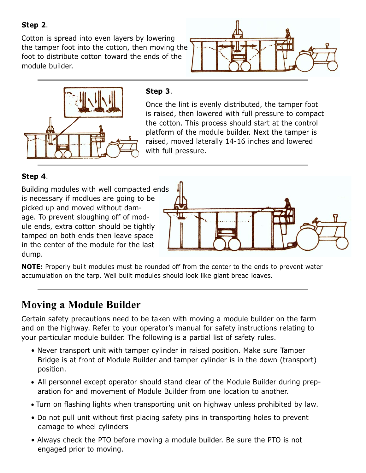**Step 2**.

Cotton is spread into even layers by lowering the tamper foot into the cotton, then moving the foot to distribute cotton toward the ends of the module builder.





#### **Step 3**.

Once the lint is evenly distributed, the tamper foot is raised, then lowered with full pressure to compact the cotton. This process should start at the control platform of the module builder. Next the tamper is raised, moved laterally 14-16 inches and lowered with full pressure.

#### **Step 4**.

Building modules with well compacted ends is necessary if modlues are going to be picked up and moved without damage. To prevent sloughing off of module ends, extra cotton should be tightly tamped on both ends then leave space in the center of the module for the last dump.



**NOTE:** Properly built modules must be rounded off from the center to the ends to prevent water accumulation on the tarp. Well built modules should look like giant bread loaves.

# **Moving a Module Builder**

Certain safety precautions need to be taken with moving a module builder on the farm and on the highway. Refer to your operator's manual for safety instructions relating to your particular module builder. The following is a partial list of safety rules.

- Never transport unit with tamper cylinder in raised position. Make sure Tamper Bridge is at front of Module Builder and tamper cylinder is in the down (transport) position.
- All personnel except operator should stand clear of the Module Builder during preparation for and movement of Module Builder from one location to another.
- Turn on flashing lights when transporting unit on highway unless prohibited by law.
- Do not pull unit without first placing safety pins in transporting holes to prevent damage to wheel cylinders
- Always check the PTO before moving a module builder. Be sure the PTO is not engaged prior to moving.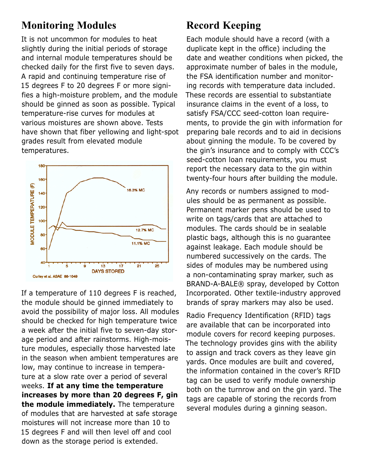## **Monitoring Modules**

It is not uncommon for modules to heat slightly during the initial periods of storage and internal module temperatures should be checked daily for the first five to seven days. A rapid and continuing temperature rise of 15 degrees F to 20 degrees F or more signifies a high-moisture problem, and the module should be ginned as soon as possible. Typical temperature-rise curves for modules at various moistures are shown above. Tests have shown that fiber yellowing and light-spot grades result from elevated module temperatures.



If a temperature of 110 degrees F is reached, the module should be ginned immediately to avoid the possibility of major loss. All modules should be checked for high temperature twice a week after the initial five to seven-day storage period and after rainstorms. High-moisture modules, especially those harvested late in the season when ambient temperatures are low, may continue to increase in temperature at a slow rate over a period of several weeks. **If at any time the temperature increases by more than 20 degrees F, gin the module immediately.** The temperature of modules that are harvested at safe storage moistures will not increase more than 10 to 15 degrees F and will then level off and cool down as the storage period is extended.

# **Record Keeping**

Each module should have a record (with a duplicate kept in the office) including the date and weather conditions when picked, the approximate number of bales in the module, the FSA identification number and monitoring records with temperature data included. These records are essential to substantiate insurance claims in the event of a loss, to satisfy FSA/CCC seed-cotton loan requirements, to provide the gin with information for preparing bale records and to aid in decisions about ginning the module. To be covered by the gin's insurance and to comply with CCC's seed-cotton loan requirements, you must report the necessary data to the gin within twenty-four hours after building the module.

Any records or numbers assigned to modules should be as permanent as possible. Permanent marker pens should be used to write on tags/cards that are attached to modules. The cards should be in sealable plastic bags, although this is no guarantee against leakage. Each module should be numbered successively on the cards. The sides of modules may be numbered using a non-contaminating spray marker, such as BRAND-A-BALE® spray, developed by Cotton Incorporated. Other textile-industry approved brands of spray markers may also be used.

Radio Frequency Identification (RFID) tags are available that can be incorporated into module covers for record keeping purposes. The technology provides gins with the ability to assign and track covers as they leave gin yards. Once modules are built and covered, the information contained in the cover's RFID tag can be used to verify module ownership both on the turnrow and on the gin yard. The tags are capable of storing the records from several modules during a ginning season.